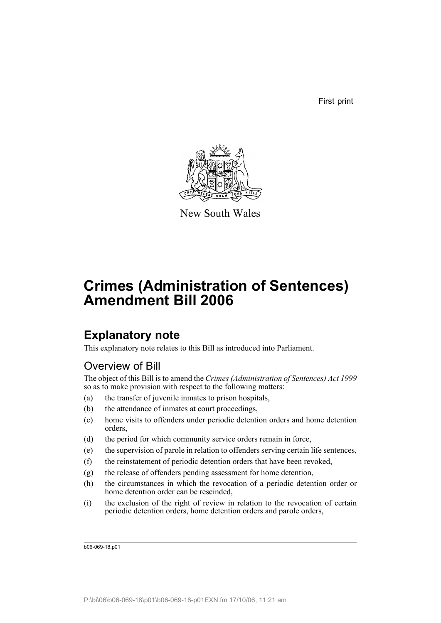First print



New South Wales

# **Crimes (Administration of Sentences) Amendment Bill 2006**

## **Explanatory note**

This explanatory note relates to this Bill as introduced into Parliament.

## Overview of Bill

The object of this Bill is to amend the *Crimes (Administration of Sentences) Act 1999* so as to make provision with respect to the following matters:

- (a) the transfer of juvenile inmates to prison hospitals,
- (b) the attendance of inmates at court proceedings,
- (c) home visits to offenders under periodic detention orders and home detention orders,
- (d) the period for which community service orders remain in force,
- (e) the supervision of parole in relation to offenders serving certain life sentences,
- (f) the reinstatement of periodic detention orders that have been revoked,
- (g) the release of offenders pending assessment for home detention,
- (h) the circumstances in which the revocation of a periodic detention order or home detention order can be rescinded,
- (i) the exclusion of the right of review in relation to the revocation of certain periodic detention orders, home detention orders and parole orders,

b06-069-18.p01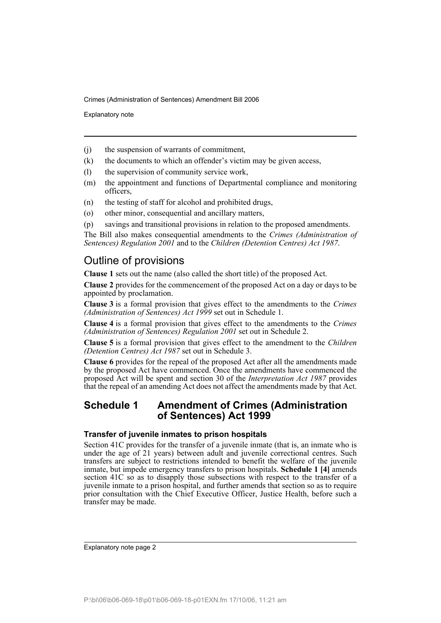Explanatory note

- (j) the suspension of warrants of commitment,
- (k) the documents to which an offender's victim may be given access,
- (l) the supervision of community service work,
- (m) the appointment and functions of Departmental compliance and monitoring officers,
- (n) the testing of staff for alcohol and prohibited drugs,
- (o) other minor, consequential and ancillary matters,
- (p) savings and transitional provisions in relation to the proposed amendments.

The Bill also makes consequential amendments to the *Crimes (Administration of Sentences) Regulation 2001* and to the *Children (Detention Centres) Act 1987*.

### Outline of provisions

**Clause 1** sets out the name (also called the short title) of the proposed Act.

**Clause 2** provides for the commencement of the proposed Act on a day or days to be appointed by proclamation.

**Clause 3** is a formal provision that gives effect to the amendments to the *Crimes (Administration of Sentences) Act 1999* set out in Schedule 1.

**Clause 4** is a formal provision that gives effect to the amendments to the *Crimes (Administration of Sentences) Regulation 2001* set out in Schedule 2.

**Clause 5** is a formal provision that gives effect to the amendment to the *Children (Detention Centres) Act 1987* set out in Schedule 3.

**Clause 6** provides for the repeal of the proposed Act after all the amendments made by the proposed Act have commenced. Once the amendments have commenced the proposed Act will be spent and section 30 of the *Interpretation Act 1987* provides that the repeal of an amending Act does not affect the amendments made by that Act.

## **Schedule 1 Amendment of Crimes (Administration of Sentences) Act 1999**

#### **Transfer of juvenile inmates to prison hospitals**

Section 41C provides for the transfer of a juvenile inmate (that is, an inmate who is under the age of 21 years) between adult and juvenile correctional centres. Such transfers are subject to restrictions intended to benefit the welfare of the juvenile inmate, but impede emergency transfers to prison hospitals. **Schedule 1 [4]** amends section 41C so as to disapply those subsections with respect to the transfer of a juvenile inmate to a prison hospital, and further amends that section so as to require prior consultation with the Chief Executive Officer, Justice Health, before such a transfer may be made.

Explanatory note page 2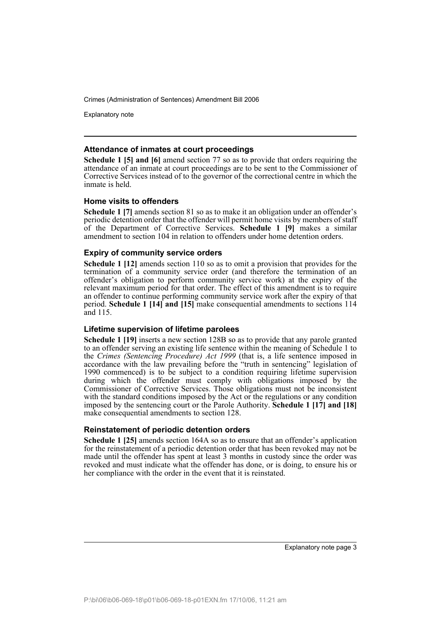Explanatory note

#### **Attendance of inmates at court proceedings**

**Schedule 1 [5] and [6]** amend section 77 so as to provide that orders requiring the attendance of an inmate at court proceedings are to be sent to the Commissioner of Corrective Services instead of to the governor of the correctional centre in which the inmate is held.

#### **Home visits to offenders**

**Schedule 1 [7]** amends section 81 so as to make it an obligation under an offender's periodic detention order that the offender will permit home visits by members of staff of the Department of Corrective Services. **Schedule 1 [9]** makes a similar amendment to section 104 in relation to offenders under home detention orders.

#### **Expiry of community service orders**

**Schedule 1 [12]** amends section 110 so as to omit a provision that provides for the termination of a community service order (and therefore the termination of an offender's obligation to perform community service work) at the expiry of the relevant maximum period for that order. The effect of this amendment is to require an offender to continue performing community service work after the expiry of that period. **Schedule 1 [14] and [15]** make consequential amendments to sections 114 and 115.

#### **Lifetime supervision of lifetime parolees**

**Schedule 1 [19]** inserts a new section 128B so as to provide that any parole granted to an offender serving an existing life sentence within the meaning of Schedule 1 to the *Crimes (Sentencing Procedure) Act 1999* (that is, a life sentence imposed in accordance with the law prevailing before the "truth in sentencing" legislation of 1990 commenced) is to be subject to a condition requiring lifetime supervision during which the offender must comply with obligations imposed by the Commissioner of Corrective Services. Those obligations must not be inconsistent with the standard conditions imposed by the Act or the regulations or any condition imposed by the sentencing court or the Parole Authority. **Schedule 1 [17] and [18]** make consequential amendments to section 128.

#### **Reinstatement of periodic detention orders**

**Schedule 1 [25]** amends section 164A so as to ensure that an offender's application for the reinstatement of a periodic detention order that has been revoked may not be made until the offender has spent at least 3 months in custody since the order was revoked and must indicate what the offender has done, or is doing, to ensure his or her compliance with the order in the event that it is reinstated.

Explanatory note page 3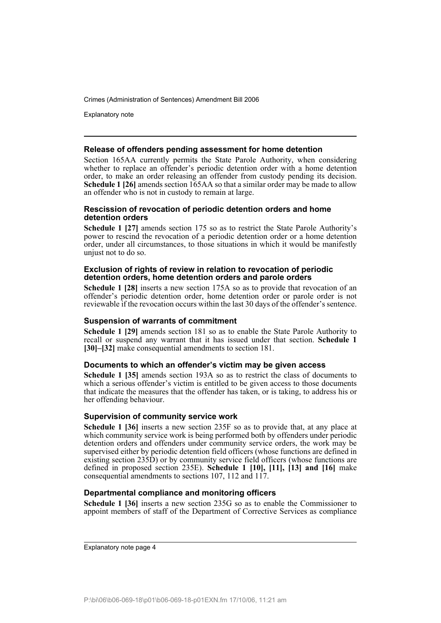Explanatory note

#### **Release of offenders pending assessment for home detention**

Section 165AA currently permits the State Parole Authority, when considering whether to replace an offender's periodic detention order with a home detention order, to make an order releasing an offender from custody pending its decision. **Schedule 1 [26]** amends section 165AA so that a similar order may be made to allow an offender who is not in custody to remain at large.

#### **Rescission of revocation of periodic detention orders and home detention orders**

**Schedule 1 [27]** amends section 175 so as to restrict the State Parole Authority's power to rescind the revocation of a periodic detention order or a home detention order, under all circumstances, to those situations in which it would be manifestly unjust not to do so.

#### **Exclusion of rights of review in relation to revocation of periodic detention orders, home detention orders and parole orders**

**Schedule 1 [28]** inserts a new section 175A so as to provide that revocation of an offender's periodic detention order, home detention order or parole order is not reviewable if the revocation occurs within the last 30 days of the offender's sentence.

#### **Suspension of warrants of commitment**

**Schedule 1 [29]** amends section 181 so as to enable the State Parole Authority to recall or suspend any warrant that it has issued under that section. **Schedule 1 [30]–[32]** make consequential amendments to section 181.

#### **Documents to which an offender's victim may be given access**

**Schedule 1 [35]** amends section 193A so as to restrict the class of documents to which a serious offender's victim is entitled to be given access to those documents that indicate the measures that the offender has taken, or is taking, to address his or her offending behaviour.

#### **Supervision of community service work**

**Schedule 1 [36]** inserts a new section 235F so as to provide that, at any place at which community service work is being performed both by offenders under periodic detention orders and offenders under community service orders, the work may be supervised either by periodic detention field officers (whose functions are defined in existing section  $235D$ ) or by community service field officers (whose functions are defined in proposed section 235E). **Schedule 1 [10], [11], [13] and [16]** make consequential amendments to sections 107, 112 and 117.

#### **Departmental compliance and monitoring officers**

**Schedule 1 [36]** inserts a new section 235G so as to enable the Commissioner to appoint members of staff of the Department of Corrective Services as compliance

Explanatory note page 4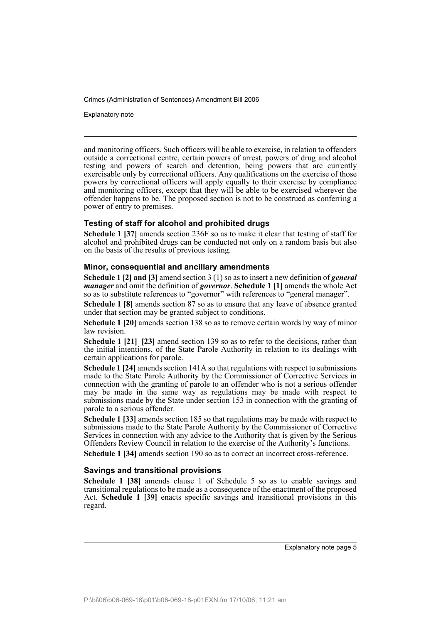Explanatory note

and monitoring officers. Such officers will be able to exercise, in relation to offenders outside a correctional centre, certain powers of arrest, powers of drug and alcohol testing and powers of search and detention, being powers that are currently exercisable only by correctional officers. Any qualifications on the exercise of those powers by correctional officers will apply equally to their exercise by compliance and monitoring officers, except that they will be able to be exercised wherever the offender happens to be. The proposed section is not to be construed as conferring a power of entry to premises.

#### **Testing of staff for alcohol and prohibited drugs**

**Schedule 1 [37]** amends section 236F so as to make it clear that testing of staff for alcohol and prohibited drugs can be conducted not only on a random basis but also on the basis of the results of previous testing.

#### **Minor, consequential and ancillary amendments**

**Schedule 1 [2] and [3]** amend section 3 (1) so as to insert a new definition of *general manager* and omit the definition of *governor*. **Schedule 1 [1]** amends the whole Act so as to substitute references to "governor" with references to "general manager".

**Schedule 1 [8]** amends section 87 so as to ensure that any leave of absence granted under that section may be granted subject to conditions.

**Schedule 1 [20]** amends section 138 so as to remove certain words by way of minor law revision.

**Schedule 1 [21]–[23]** amend section 139 so as to refer to the decisions, rather than the initial intentions, of the State Parole Authority in relation to its dealings with certain applications for parole.

**Schedule 1 [24]** amends section 141A so that regulations with respect to submissions made to the State Parole Authority by the Commissioner of Corrective Services in connection with the granting of parole to an offender who is not a serious offender may be made in the same way as regulations may be made with respect to submissions made by the State under section 153 in connection with the granting of parole to a serious offender.

**Schedule 1 [33]** amends section 185 so that regulations may be made with respect to submissions made to the State Parole Authority by the Commissioner of Corrective Services in connection with any advice to the Authority that is given by the Serious Offenders Review Council in relation to the exercise of the Authority's functions.

**Schedule 1 [34]** amends section 190 so as to correct an incorrect cross-reference.

#### **Savings and transitional provisions**

**Schedule 1 [38]** amends clause 1 of Schedule 5 so as to enable savings and transitional regulations to be made as a consequence of the enactment of the proposed Act. **Schedule 1 [39]** enacts specific savings and transitional provisions in this regard.

Explanatory note page 5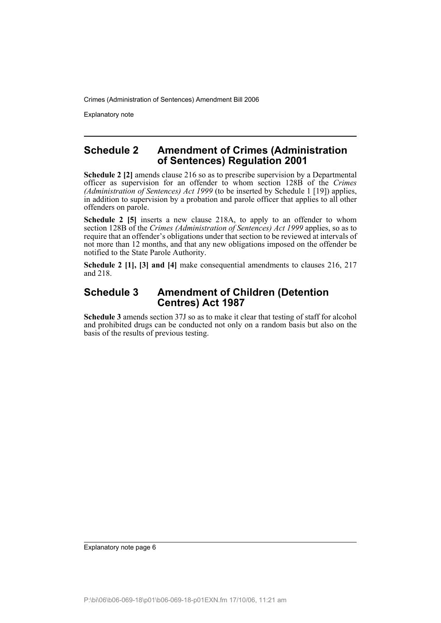Explanatory note

## **Schedule 2 Amendment of Crimes (Administration of Sentences) Regulation 2001**

**Schedule 2 [2]** amends clause 216 so as to prescribe supervision by a Departmental officer as supervision for an offender to whom section 128B of the *Crimes (Administration of Sentences) Act 1999* (to be inserted by Schedule 1 [19]) applies, in addition to supervision by a probation and parole officer that applies to all other offenders on parole.

**Schedule 2 [5]** inserts a new clause 218A, to apply to an offender to whom section 128B of the *Crimes (Administration of Sentences) Act 1999* applies, so as to require that an offender's obligations under that section to be reviewed at intervals of not more than 12 months, and that any new obligations imposed on the offender be notified to the State Parole Authority.

**Schedule 2 [1], [3] and [4]** make consequential amendments to clauses 216, 217 and 218.

## **Schedule 3 Amendment of Children (Detention Centres) Act 1987**

**Schedule 3** amends section 37J so as to make it clear that testing of staff for alcohol and prohibited drugs can be conducted not only on a random basis but also on the basis of the results of previous testing.

Explanatory note page 6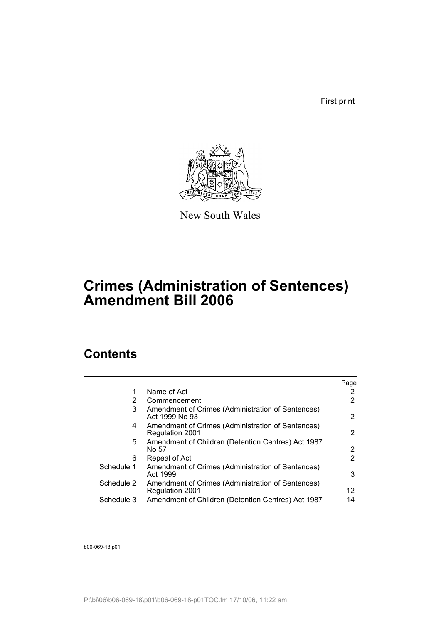First print



New South Wales

# **Crimes (Administration of Sentences) Amendment Bill 2006**

## **Contents**

|            |                                                                             | Page                  |
|------------|-----------------------------------------------------------------------------|-----------------------|
|            | Name of Act                                                                 | 2                     |
| 2          | Commencement                                                                | 2                     |
| 3          | Amendment of Crimes (Administration of Sentences)<br>Act 1999 No 93         | $\overline{2}$        |
| 4          | Amendment of Crimes (Administration of Sentences)<br>Regulation 2001        | $\mathbf{2}^{\prime}$ |
| 5.         | Amendment of Children (Detention Centres) Act 1987<br>No 57                 | 2                     |
| 6          | Repeal of Act                                                               | 2                     |
| Schedule 1 | Amendment of Crimes (Administration of Sentences)<br>Act 1999               | 3                     |
| Schedule 2 | Amendment of Crimes (Administration of Sentences)<br><b>Regulation 2001</b> | 12                    |
| Schedule 3 | Amendment of Children (Detention Centres) Act 1987                          | 14                    |

b06-069-18.p01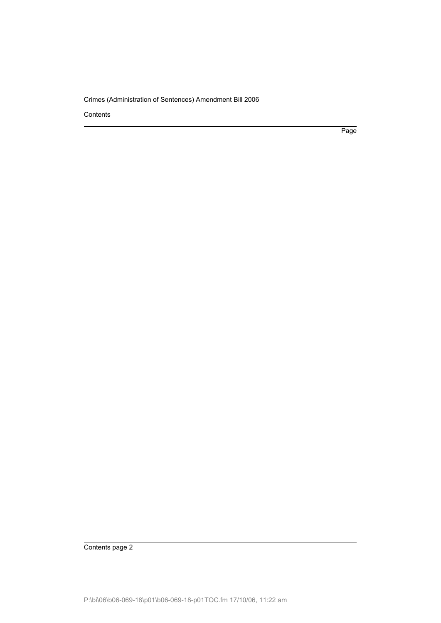Contents

Page

Contents page 2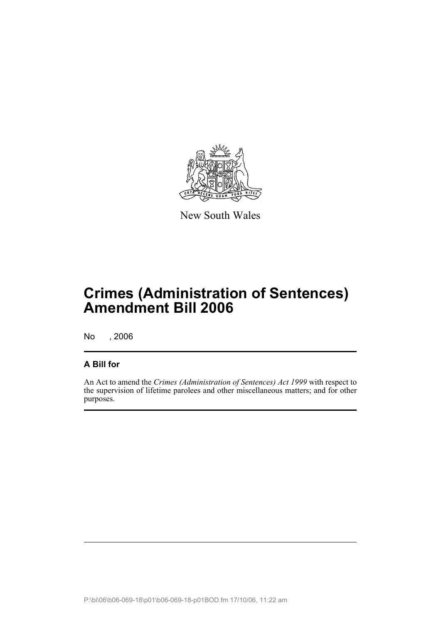

New South Wales

# **Crimes (Administration of Sentences) Amendment Bill 2006**

No , 2006

## **A Bill for**

An Act to amend the *Crimes (Administration of Sentences) Act 1999* with respect to the supervision of lifetime parolees and other miscellaneous matters; and for other purposes.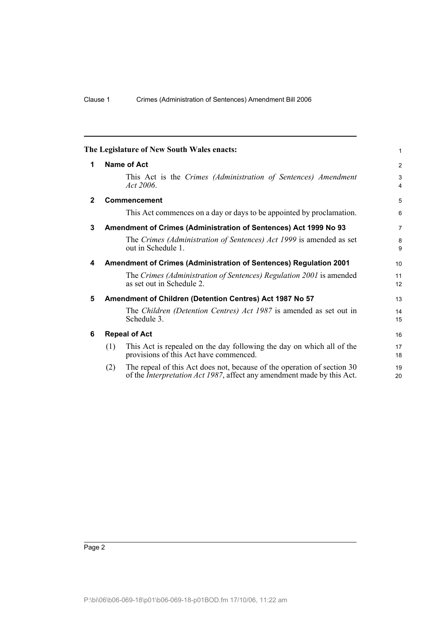<span id="page-9-5"></span><span id="page-9-4"></span><span id="page-9-3"></span><span id="page-9-2"></span><span id="page-9-1"></span><span id="page-9-0"></span>

|              |     | The Legislature of New South Wales enacts:                                                                                                                | $\mathbf{1}$        |
|--------------|-----|-----------------------------------------------------------------------------------------------------------------------------------------------------------|---------------------|
| 1            |     | Name of Act                                                                                                                                               | $\overline{2}$      |
|              |     | This Act is the Crimes (Administration of Sentences) Amendment<br>Act 2006.                                                                               | 3<br>$\overline{4}$ |
| $\mathbf{2}$ |     | <b>Commencement</b>                                                                                                                                       | 5                   |
|              |     | This Act commences on a day or days to be appointed by proclamation.                                                                                      | $6\phantom{1}$      |
| 3            |     | Amendment of Crimes (Administration of Sentences) Act 1999 No 93                                                                                          | $\overline{7}$      |
|              |     | The Crimes (Administration of Sentences) Act 1999 is amended as set<br>out in Schedule 1.                                                                 | 8<br>9              |
| 4            |     | Amendment of Crimes (Administration of Sentences) Regulation 2001                                                                                         | 10                  |
|              |     | The Crimes (Administration of Sentences) Regulation 2001 is amended<br>as set out in Schedule 2.                                                          | 11<br>12            |
| 5            |     | Amendment of Children (Detention Centres) Act 1987 No 57                                                                                                  | 13                  |
|              |     | The Children (Detention Centres) Act 1987 is amended as set out in<br>Schedule 3.                                                                         | 14<br>15            |
| 6            |     | <b>Repeal of Act</b>                                                                                                                                      | 16                  |
|              | (1) | This Act is repealed on the day following the day on which all of the<br>provisions of this Act have commenced.                                           | 17<br>18            |
|              | (2) | The repeal of this Act does not, because of the operation of section 30<br>of the <i>Interpretation Act 1987</i> , affect any amendment made by this Act. | 19<br>20            |
|              |     |                                                                                                                                                           |                     |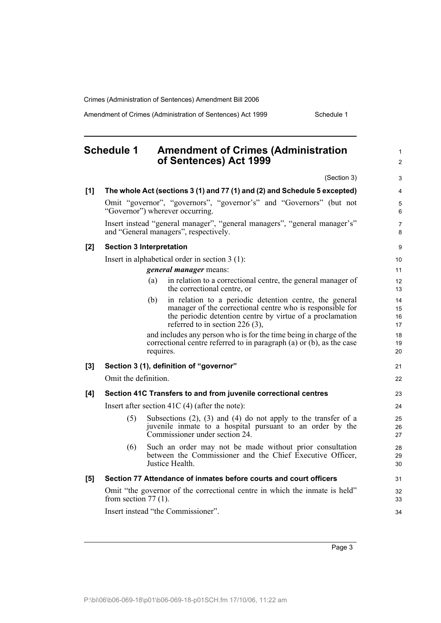Amendment of Crimes (Administration of Sentences) Act 1999 Schedule 1

#### <span id="page-10-0"></span>**Schedule 1 Amendment of Crimes (Administration of Sentences) Act 1999** (Section 3) **[1] The whole Act (sections 3 (1) and 77 (1) and (2) and Schedule 5 excepted)** Omit "governor", "governors", "governor's" and "Governors" (but not "Governor") wherever occurring. Insert instead "general manager", "general managers", "general manager's" and "General managers", respectively. **[2] Section 3 Interpretation** Insert in alphabetical order in section 3 (1): *general manager* means: (a) in relation to a correctional centre, the general manager of the correctional centre, or (b) in relation to a periodic detention centre, the general manager of the correctional centre who is responsible for the periodic detention centre by virtue of a proclamation referred to in section 226 (3), and includes any person who is for the time being in charge of the correctional centre referred to in paragraph (a) or (b), as the case requires. **[3] Section 3 (1), definition of "governor"** Omit the definition. **[4] Section 41C Transfers to and from juvenile correctional centres** Insert after section 41C (4) (after the note): (5) Subsections (2), (3) and (4) do not apply to the transfer of a juvenile inmate to a hospital pursuant to an order by the Commissioner under section 24. (6) Such an order may not be made without prior consultation between the Commissioner and the Chief Executive Officer, Justice Health. **[5] Section 77 Attendance of inmates before courts and court officers** Omit "the governor of the correctional centre in which the inmate is held" from section  $77(1)$ . Insert instead "the Commissioner". 1  $\mathfrak{p}$ 3 4 5 6 7 8 9 10 11 12 13 14 15 16 17 18 19 20 21  $22$ 23 24 25 26 27 28 29 30 31 32 33  $34$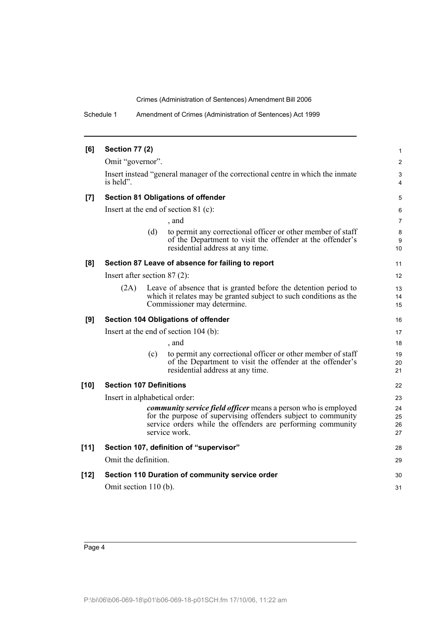Schedule 1 Amendment of Crimes (Administration of Sentences) Act 1999

|           |     |                                                                                                                                                              | 1                                                                                                                                                                                                                                                                                                                                                                                                                                                                                                                                                                                                                                                                                                                                                                                                                                                                                                                                                                                           |
|-----------|-----|--------------------------------------------------------------------------------------------------------------------------------------------------------------|---------------------------------------------------------------------------------------------------------------------------------------------------------------------------------------------------------------------------------------------------------------------------------------------------------------------------------------------------------------------------------------------------------------------------------------------------------------------------------------------------------------------------------------------------------------------------------------------------------------------------------------------------------------------------------------------------------------------------------------------------------------------------------------------------------------------------------------------------------------------------------------------------------------------------------------------------------------------------------------------|
|           |     |                                                                                                                                                              | $\overline{c}$                                                                                                                                                                                                                                                                                                                                                                                                                                                                                                                                                                                                                                                                                                                                                                                                                                                                                                                                                                              |
| is held". |     |                                                                                                                                                              | 3<br>4                                                                                                                                                                                                                                                                                                                                                                                                                                                                                                                                                                                                                                                                                                                                                                                                                                                                                                                                                                                      |
|           |     |                                                                                                                                                              | 5                                                                                                                                                                                                                                                                                                                                                                                                                                                                                                                                                                                                                                                                                                                                                                                                                                                                                                                                                                                           |
|           |     |                                                                                                                                                              | 6                                                                                                                                                                                                                                                                                                                                                                                                                                                                                                                                                                                                                                                                                                                                                                                                                                                                                                                                                                                           |
|           |     | , and                                                                                                                                                        | $\overline{7}$                                                                                                                                                                                                                                                                                                                                                                                                                                                                                                                                                                                                                                                                                                                                                                                                                                                                                                                                                                              |
|           | (d) | to permit any correctional officer or other member of staff<br>of the Department to visit the offender at the offender's<br>residential address at any time. | 8<br>9<br>10                                                                                                                                                                                                                                                                                                                                                                                                                                                                                                                                                                                                                                                                                                                                                                                                                                                                                                                                                                                |
|           |     |                                                                                                                                                              | 11                                                                                                                                                                                                                                                                                                                                                                                                                                                                                                                                                                                                                                                                                                                                                                                                                                                                                                                                                                                          |
|           |     |                                                                                                                                                              | 12                                                                                                                                                                                                                                                                                                                                                                                                                                                                                                                                                                                                                                                                                                                                                                                                                                                                                                                                                                                          |
| (2A)      |     |                                                                                                                                                              | 13<br>14<br>15                                                                                                                                                                                                                                                                                                                                                                                                                                                                                                                                                                                                                                                                                                                                                                                                                                                                                                                                                                              |
|           |     |                                                                                                                                                              | 16                                                                                                                                                                                                                                                                                                                                                                                                                                                                                                                                                                                                                                                                                                                                                                                                                                                                                                                                                                                          |
|           |     |                                                                                                                                                              | 17                                                                                                                                                                                                                                                                                                                                                                                                                                                                                                                                                                                                                                                                                                                                                                                                                                                                                                                                                                                          |
|           |     | , and                                                                                                                                                        | 18                                                                                                                                                                                                                                                                                                                                                                                                                                                                                                                                                                                                                                                                                                                                                                                                                                                                                                                                                                                          |
|           | (c) | to permit any correctional officer or other member of staff<br>of the Department to visit the offender at the offender's<br>residential address at any time. | 19<br>20<br>21                                                                                                                                                                                                                                                                                                                                                                                                                                                                                                                                                                                                                                                                                                                                                                                                                                                                                                                                                                              |
|           |     |                                                                                                                                                              | 22                                                                                                                                                                                                                                                                                                                                                                                                                                                                                                                                                                                                                                                                                                                                                                                                                                                                                                                                                                                          |
|           |     |                                                                                                                                                              | 23                                                                                                                                                                                                                                                                                                                                                                                                                                                                                                                                                                                                                                                                                                                                                                                                                                                                                                                                                                                          |
|           |     |                                                                                                                                                              | 24<br>25<br>26<br>27                                                                                                                                                                                                                                                                                                                                                                                                                                                                                                                                                                                                                                                                                                                                                                                                                                                                                                                                                                        |
|           |     |                                                                                                                                                              | 28                                                                                                                                                                                                                                                                                                                                                                                                                                                                                                                                                                                                                                                                                                                                                                                                                                                                                                                                                                                          |
|           |     |                                                                                                                                                              | 29                                                                                                                                                                                                                                                                                                                                                                                                                                                                                                                                                                                                                                                                                                                                                                                                                                                                                                                                                                                          |
|           |     |                                                                                                                                                              | 30                                                                                                                                                                                                                                                                                                                                                                                                                                                                                                                                                                                                                                                                                                                                                                                                                                                                                                                                                                                          |
|           |     |                                                                                                                                                              | 31                                                                                                                                                                                                                                                                                                                                                                                                                                                                                                                                                                                                                                                                                                                                                                                                                                                                                                                                                                                          |
|           |     | <b>Section 77 (2)</b>                                                                                                                                        | Omit "governor".<br>Insert instead "general manager of the correctional centre in which the inmate<br><b>Section 81 Obligations of offender</b><br>Insert at the end of section $81$ (c):<br>Section 87 Leave of absence for failing to report<br>Insert after section $87(2)$ :<br>Leave of absence that is granted before the detention period to<br>which it relates may be granted subject to such conditions as the<br>Commissioner may determine.<br><b>Section 104 Obligations of offender</b><br>Insert at the end of section $104$ (b):<br><b>Section 107 Definitions</b><br>Insert in alphabetical order:<br><i>community service field officer means a person who is employed</i><br>for the purpose of supervising offenders subject to community<br>service orders while the offenders are performing community<br>service work<br>Section 107, definition of "supervisor"<br>Omit the definition.<br>Section 110 Duration of community service order<br>Omit section 110 (b). |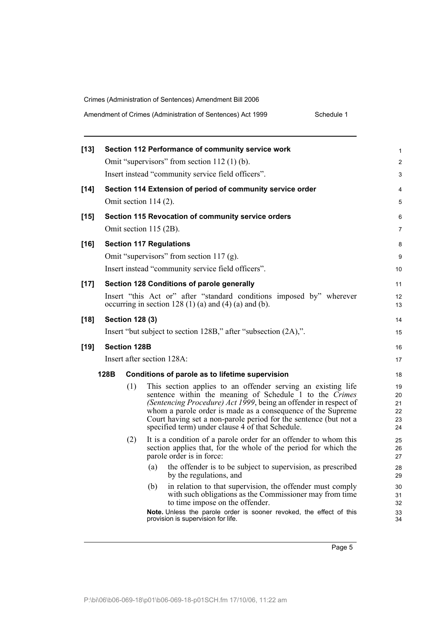| $[13]$ |      |                        | Section 112 Performance of community service work                                                                               | 1                       |  |
|--------|------|------------------------|---------------------------------------------------------------------------------------------------------------------------------|-------------------------|--|
|        |      |                        | Omit "supervisors" from section 112 (1) (b).                                                                                    | $\overline{\mathbf{c}}$ |  |
|        |      |                        | Insert instead "community service field officers".                                                                              | 3                       |  |
| $[14]$ |      |                        | Section 114 Extension of period of community service order                                                                      | 4                       |  |
|        |      |                        | Omit section $114(2)$ .                                                                                                         | 5                       |  |
| $[15]$ |      |                        | Section 115 Revocation of community service orders                                                                              | 6                       |  |
|        |      |                        | Omit section 115 (2B).                                                                                                          | 7                       |  |
| $[16]$ |      |                        | <b>Section 117 Regulations</b>                                                                                                  | 8                       |  |
|        |      |                        | Omit "supervisors" from section $117$ (g).                                                                                      | 9                       |  |
|        |      |                        | Insert instead "community service field officers".                                                                              | 10                      |  |
| $[17]$ |      |                        | Section 128 Conditions of parole generally                                                                                      | 11                      |  |
|        |      |                        | Insert "this Act or" after "standard conditions imposed by" wherever                                                            |                         |  |
|        |      |                        | occurring in section 128 $(1)$ (a) and $(4)$ (a) and $(b)$ .                                                                    | 13                      |  |
| $[18]$ |      | <b>Section 128 (3)</b> |                                                                                                                                 | 14                      |  |
|        |      |                        | Insert "but subject to section 128B," after "subsection (2A),".                                                                 | 15                      |  |
| $[19]$ |      | <b>Section 128B</b>    |                                                                                                                                 | 16                      |  |
|        |      |                        | Insert after section 128A:                                                                                                      | 17                      |  |
|        | 128B |                        | Conditions of parole as to lifetime supervision                                                                                 | 18                      |  |
|        |      | (1)                    | This section applies to an offender serving an existing life                                                                    | 19                      |  |
|        |      |                        | sentence within the meaning of Schedule 1 to the Crimes                                                                         | 20                      |  |
|        |      |                        | (Sentencing Procedure) Act 1999, being an offender in respect of<br>whom a parole order is made as a consequence of the Supreme | 21<br>22                |  |
|        |      |                        | Court having set a non-parole period for the sentence (but not a                                                                | 23                      |  |
|        |      |                        | specified term) under clause 4 of that Schedule.                                                                                | 24                      |  |
|        |      | (2)                    | It is a condition of a parole order for an offender to whom this                                                                | 25                      |  |
|        |      |                        | section applies that, for the whole of the period for which the                                                                 | 26                      |  |
|        |      |                        | parole order is in force:                                                                                                       | 27                      |  |
|        |      |                        | the offender is to be subject to supervision, as prescribed<br>(a)<br>by the regulations, and                                   | 28<br>29                |  |
|        |      |                        | in relation to that supervision, the offender must comply<br>(b)                                                                | 30                      |  |
|        |      |                        | with such obligations as the Commissioner may from time                                                                         | 31                      |  |
|        |      |                        | to time impose on the offender.<br>Note. Unless the parole order is sooner revoked, the effect of this                          | 32<br>33                |  |
|        |      |                        | provision is supervision for life.                                                                                              | 34                      |  |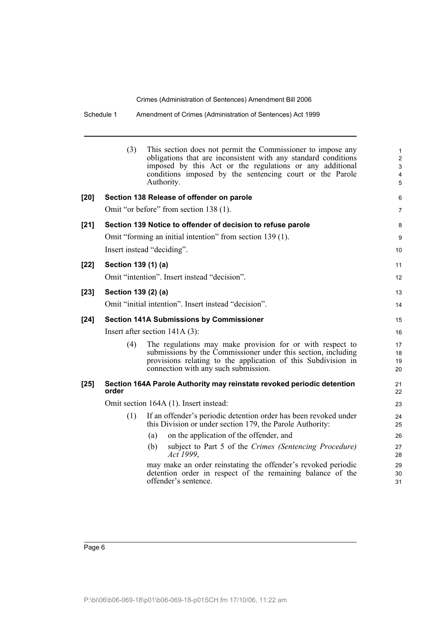Schedule 1 Amendment of Crimes (Administration of Sentences) Act 1999

|        | (3)                                    | This section does not permit the Commissioner to impose any<br>obligations that are inconsistent with any standard conditions<br>imposed by this Act or the regulations or any additional<br>conditions imposed by the sentencing court or the Parole<br>Authority. | $\mathbf{1}$<br>2<br>$\mathsf 3$<br>$\overline{\mathbf{4}}$<br>5 |  |  |
|--------|----------------------------------------|---------------------------------------------------------------------------------------------------------------------------------------------------------------------------------------------------------------------------------------------------------------------|------------------------------------------------------------------|--|--|
| [20]   |                                        | Section 138 Release of offender on parole                                                                                                                                                                                                                           | 6                                                                |  |  |
|        |                                        | Omit "or before" from section 138 (1).                                                                                                                                                                                                                              | 7                                                                |  |  |
| [21]   |                                        | Section 139 Notice to offender of decision to refuse parole                                                                                                                                                                                                         | 8                                                                |  |  |
|        |                                        | Omit "forming an initial intention" from section 139 (1).                                                                                                                                                                                                           | 9                                                                |  |  |
|        |                                        | Insert instead "deciding".                                                                                                                                                                                                                                          | 10                                                               |  |  |
| [22]   | Section 139 (1) (a)                    |                                                                                                                                                                                                                                                                     | 11                                                               |  |  |
|        |                                        | Omit "intention". Insert instead "decision".                                                                                                                                                                                                                        | 12                                                               |  |  |
| $[23]$ | Section 139 (2) (a)                    |                                                                                                                                                                                                                                                                     | 13                                                               |  |  |
|        |                                        | Omit "initial intention". Insert instead "decision".                                                                                                                                                                                                                | 14                                                               |  |  |
| $[24]$ |                                        | <b>Section 141A Submissions by Commissioner</b>                                                                                                                                                                                                                     | 15                                                               |  |  |
|        |                                        | Insert after section $141A(3)$ :                                                                                                                                                                                                                                    | 16                                                               |  |  |
|        | (4)                                    | The regulations may make provision for or with respect to<br>submissions by the Commissioner under this section, including<br>provisions relating to the application of this Subdivision in<br>connection with any such submission.                                 | 17<br>18<br>19<br>20                                             |  |  |
| $[25]$ | order                                  | Section 164A Parole Authority may reinstate revoked periodic detention                                                                                                                                                                                              | 21<br>22                                                         |  |  |
|        | Omit section 164A (1). Insert instead: |                                                                                                                                                                                                                                                                     |                                                                  |  |  |
|        | (1)                                    | If an offender's periodic detention order has been revoked under<br>this Division or under section 179, the Parole Authority:                                                                                                                                       | 24<br>25                                                         |  |  |
|        |                                        | on the application of the offender, and<br>(a)                                                                                                                                                                                                                      | 26                                                               |  |  |
|        |                                        | subject to Part 5 of the Crimes (Sentencing Procedure)<br>(b)<br>Act 1999,                                                                                                                                                                                          | 27<br>28                                                         |  |  |
|        |                                        | may make an order reinstating the offender's revoked periodic<br>detention order in respect of the remaining balance of the<br>offender's sentence.                                                                                                                 | 29<br>30<br>31                                                   |  |  |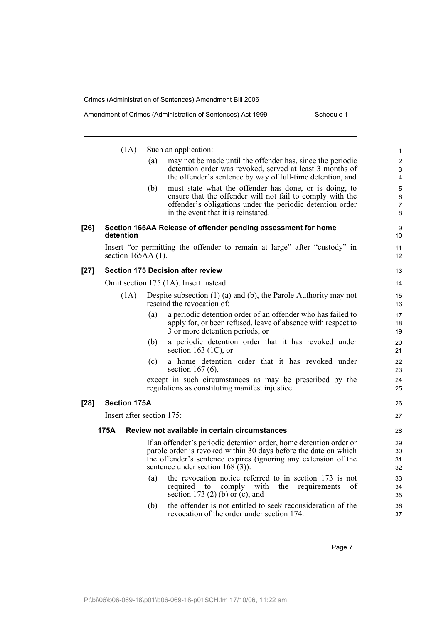|        | (1A)                      |     | Such an application:                                                                                                   | $\mathbf{1}$   |
|--------|---------------------------|-----|------------------------------------------------------------------------------------------------------------------------|----------------|
|        |                           | (a) | may not be made until the offender has, since the periodic                                                             | $\overline{2}$ |
|        |                           |     | detention order was revoked, served at least 3 months of<br>the offender's sentence by way of full-time detention, and | 3<br>4         |
|        |                           | (b) | must state what the offender has done, or is doing, to                                                                 |                |
|        |                           |     | ensure that the offender will not fail to comply with the                                                              | 5<br>6         |
|        |                           |     | offender's obligations under the periodic detention order                                                              | $\overline{7}$ |
|        |                           |     | in the event that it is reinstated.                                                                                    | 8              |
| $[26]$ | detention                 |     | Section 165AA Release of offender pending assessment for home                                                          | 9<br>10        |
|        | section $165AA(1)$ .      |     | Insert "or permitting the offender to remain at large" after "custody" in                                              | 11<br>12       |
| $[27]$ |                           |     | <b>Section 175 Decision after review</b>                                                                               | 13             |
|        |                           |     | Omit section 175 (1A). Insert instead:                                                                                 | 14             |
|        | (1A)                      |     | Despite subsection $(1)$ $(a)$ and $(b)$ , the Parole Authority may not<br>rescind the revocation of:                  | 15<br>16       |
|        |                           | (a) | a periodic detention order of an offender who has failed to                                                            | 17             |
|        |                           |     | apply for, or been refused, leave of absence with respect to<br>3 or more detention periods, or                        | 18<br>19       |
|        |                           | (b) | a periodic detention order that it has revoked under<br>section 163 $(1C)$ , or                                        | 20<br>21       |
|        |                           | (c) | a home detention order that it has revoked under<br>section $167(6)$ ,                                                 | 22<br>23       |
|        |                           |     | except in such circumstances as may be prescribed by the<br>regulations as constituting manifest injustice.            | 24<br>25       |
| $[28]$ | <b>Section 175A</b>       |     |                                                                                                                        | 26             |
|        | Insert after section 175: |     |                                                                                                                        | 27             |
|        | 175A                      |     | Review not available in certain circumstances                                                                          | 28             |
|        |                           |     | If an offender's periodic detention order, home detention order or                                                     | 29             |
|        |                           |     | parole order is revoked within 30 days before the date on which                                                        | 30             |
|        |                           |     | the offender's sentence expires (ignoring any extension of the<br>sentence under section $168(3)$ :                    | 31             |
|        |                           | (a) | the revocation notice referred to in section 173 is not                                                                | 32             |
|        |                           |     | required<br>comply<br>with<br>the<br>of<br>to<br>requirements                                                          | 33<br>34       |
|        |                           |     | section 173 $(2)$ (b) or $(c)$ , and                                                                                   | 35             |
|        |                           | (b) | the offender is not entitled to seek reconsideration of the<br>revocation of the order under section 174.              | 36<br>37       |
|        |                           |     |                                                                                                                        |                |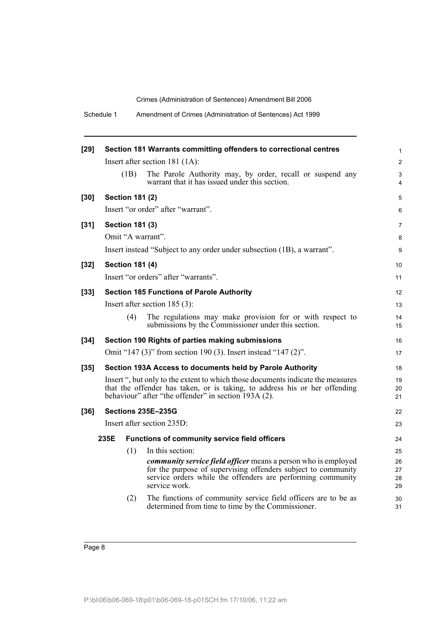| Schedule 1 |  | Amendment of Crimes (Administration of Sentences) Act 1999 |
|------------|--|------------------------------------------------------------|
|------------|--|------------------------------------------------------------|

| $[29]$ |                        | Section 181 Warrants committing offenders to correctional centres                                                                                                                                                      | $\mathbf{1}$         |
|--------|------------------------|------------------------------------------------------------------------------------------------------------------------------------------------------------------------------------------------------------------------|----------------------|
|        |                        | Insert after section 181 (1A):                                                                                                                                                                                         | $\overline{2}$       |
|        | (1B)                   | The Parole Authority may, by order, recall or suspend any<br>warrant that it has issued under this section.                                                                                                            | 3<br>4               |
| $[30]$ | <b>Section 181 (2)</b> |                                                                                                                                                                                                                        | 5                    |
|        |                        | Insert "or order" after "warrant".                                                                                                                                                                                     | 6                    |
| $[31]$ | <b>Section 181 (3)</b> |                                                                                                                                                                                                                        | 7                    |
|        | Omit "A warrant".      |                                                                                                                                                                                                                        | 8                    |
|        |                        | Insert instead "Subject to any order under subsection (1B), a warrant".                                                                                                                                                | 9                    |
| $[32]$ | <b>Section 181 (4)</b> |                                                                                                                                                                                                                        | 10                   |
|        |                        | Insert "or orders" after "warrants".                                                                                                                                                                                   | 11                   |
| $[33]$ |                        | <b>Section 185 Functions of Parole Authority</b>                                                                                                                                                                       | 12                   |
|        |                        | Insert after section $185(3)$ :                                                                                                                                                                                        | 13                   |
|        | (4)                    | The regulations may make provision for or with respect to<br>submissions by the Commissioner under this section.                                                                                                       | 14<br>15             |
| $[34]$ |                        | Section 190 Rights of parties making submissions                                                                                                                                                                       | 16                   |
|        |                        | Omit "147 (3)" from section 190 (3). Insert instead "147 (2)".                                                                                                                                                         | 17                   |
| $[35]$ |                        | Section 193A Access to documents held by Parole Authority                                                                                                                                                              | 18                   |
|        |                        | Insert ", but only to the extent to which those documents indicate the measures<br>that the offender has taken, or is taking, to address his or her offending<br>behaviour" after "the offender" in section 193A (2).  | 19<br>20<br>21       |
| $[36]$ |                        | <b>Sections 235E-235G</b>                                                                                                                                                                                              | 22                   |
|        |                        | Insert after section 235D:                                                                                                                                                                                             | 23                   |
|        | 235E                   | Functions of community service field officers                                                                                                                                                                          | 24                   |
|        | (1)                    | In this section:                                                                                                                                                                                                       | 25                   |
|        |                        | <i>community service field officer means a person who is employed</i><br>for the purpose of supervising offenders subject to community<br>service orders while the offenders are performing community<br>service work. | 26<br>27<br>28<br>29 |
|        | (2)                    | The functions of community service field officers are to be as<br>determined from time to time by the Commissioner.                                                                                                    | 30<br>31             |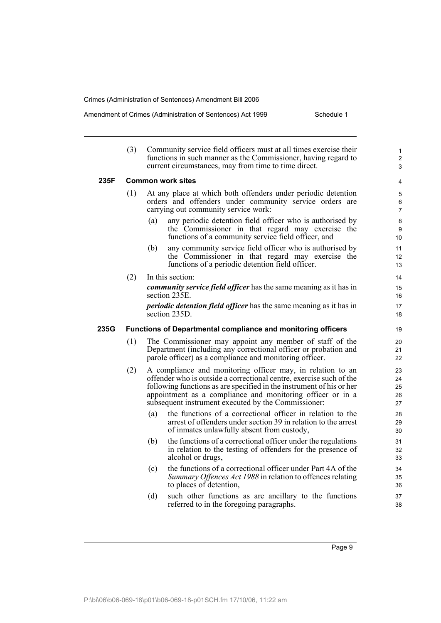#### Amendment of Crimes (Administration of Sentences) Act 1999 Schedule 1

|      | (3) | Community service field officers must at all times exercise their<br>functions in such manner as the Commissioner, having regard to<br>current circumstances, may from time to time direct.                                                                                                                                    | $\mathbf{1}$<br>$\overline{2}$<br>3 |
|------|-----|--------------------------------------------------------------------------------------------------------------------------------------------------------------------------------------------------------------------------------------------------------------------------------------------------------------------------------|-------------------------------------|
| 235F |     | <b>Common work sites</b>                                                                                                                                                                                                                                                                                                       | 4                                   |
|      | (1) | At any place at which both offenders under periodic detention<br>orders and offenders under community service orders are<br>carrying out community service work:                                                                                                                                                               | 5<br>6<br>$\overline{7}$            |
|      |     | any periodic detention field officer who is authorised by<br>(a)<br>the Commissioner in that regard may exercise the<br>functions of a community service field officer, and                                                                                                                                                    | 8<br>9<br>10                        |
|      |     | any community service field officer who is authorised by<br>(b)<br>the Commissioner in that regard may exercise the<br>functions of a periodic detention field officer.                                                                                                                                                        | 11<br>12<br>13                      |
|      | (2) | In this section:                                                                                                                                                                                                                                                                                                               | 14                                  |
|      |     | <i>community service field officer</i> has the same meaning as it has in<br>section 235E.                                                                                                                                                                                                                                      | 15<br>16                            |
|      |     | <i>periodic detention field officer</i> has the same meaning as it has in<br>section $235D$ .                                                                                                                                                                                                                                  | 17<br>18                            |
| 235G |     | <b>Functions of Departmental compliance and monitoring officers</b>                                                                                                                                                                                                                                                            | 19                                  |
|      | (1) | The Commissioner may appoint any member of staff of the<br>Department (including any correctional officer or probation and<br>parole officer) as a compliance and monitoring officer.                                                                                                                                          | 20<br>21<br>22                      |
|      | (2) | A compliance and monitoring officer may, in relation to an<br>offender who is outside a correctional centre, exercise such of the<br>following functions as are specified in the instrument of his or her<br>appointment as a compliance and monitoring officer or in a<br>subsequent instrument executed by the Commissioner: | 23<br>24<br>25<br>26<br>27          |
|      |     | the functions of a correctional officer in relation to the<br>(a)<br>arrest of offenders under section 39 in relation to the arrest<br>of inmates unlawfully absent from custody,                                                                                                                                              | 28<br>29<br>30                      |
|      |     | (b)<br>the functions of a correctional officer under the regulations<br>in relation to the testing of offenders for the presence of<br>alcohol or drugs,                                                                                                                                                                       | 31<br>32<br>33                      |
|      |     | the functions of a correctional officer under Part 4A of the<br>(c)<br>Summary Offences Act 1988 in relation to offences relating<br>to places of detention,                                                                                                                                                                   | 34<br>35<br>36                      |
|      |     | (d)<br>such other functions as are ancillary to the functions<br>referred to in the foregoing paragraphs.                                                                                                                                                                                                                      | 37<br>38                            |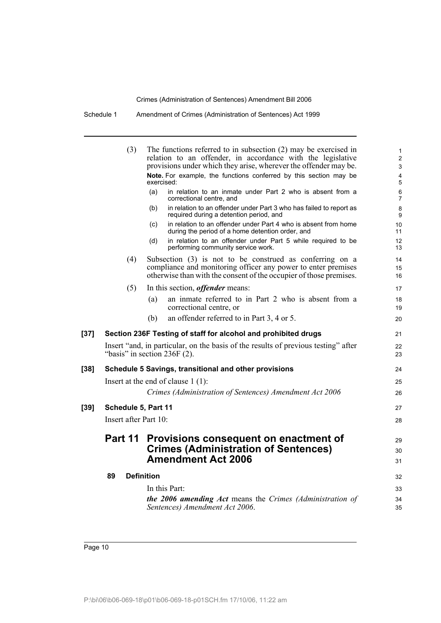Schedule 1 Amendment of Crimes (Administration of Sentences) Act 1999

|        | (3)                   | The functions referred to in subsection $(2)$ may be exercised in<br>relation to an offender, in accordance with the legislative                                                                | $\mathbf{1}$<br>$\overline{2}$ |
|--------|-----------------------|-------------------------------------------------------------------------------------------------------------------------------------------------------------------------------------------------|--------------------------------|
|        |                       | provisions under which they arise, wherever the offender may be.                                                                                                                                | 3                              |
|        |                       | Note. For example, the functions conferred by this section may be<br>exercised:                                                                                                                 | 4<br>5                         |
|        |                       | in relation to an inmate under Part 2 who is absent from a<br>(a)<br>correctional centre, and                                                                                                   | 6<br>7                         |
|        |                       | in relation to an offender under Part 3 who has failed to report as<br>(b)<br>required during a detention period, and                                                                           | 8<br>9                         |
|        |                       | in relation to an offender under Part 4 who is absent from home<br>(c)<br>during the period of a home detention order, and                                                                      | 10<br>11                       |
|        |                       | in relation to an offender under Part 5 while required to be<br>(d)<br>performing community service work.                                                                                       | 12<br>13                       |
|        | (4)                   | Subsection (3) is not to be construed as conferring on a<br>compliance and monitoring officer any power to enter premises<br>otherwise than with the consent of the occupier of those premises. | 14<br>15<br>16                 |
|        | (5)                   | In this section, <i>offender</i> means:                                                                                                                                                         | 17                             |
|        |                       | an inmate referred to in Part 2 who is absent from a<br>(a)<br>correctional centre, or                                                                                                          | 18<br>19                       |
|        |                       | an offender referred to in Part 3, 4 or 5.<br>(b)                                                                                                                                               | 20                             |
| $[37]$ |                       | Section 236F Testing of staff for alcohol and prohibited drugs                                                                                                                                  | 21                             |
|        |                       | Insert "and, in particular, on the basis of the results of previous testing" after<br>"basis" in section $236F(2)$ .                                                                            | 22<br>23                       |
| [38]   |                       | Schedule 5 Savings, transitional and other provisions                                                                                                                                           | 24                             |
|        |                       | Insert at the end of clause $1(1)$ :                                                                                                                                                            | 25                             |
|        |                       | Crimes (Administration of Sentences) Amendment Act 2006                                                                                                                                         | 26                             |
| [39]   | Schedule 5, Part 11   |                                                                                                                                                                                                 | 27                             |
|        | Insert after Part 10: |                                                                                                                                                                                                 | 28                             |
|        | Part 11               | Provisions consequent on enactment of                                                                                                                                                           | 29                             |
|        |                       | <b>Crimes (Administration of Sentences)</b><br><b>Amendment Act 2006</b>                                                                                                                        | 30                             |
|        |                       |                                                                                                                                                                                                 | 31                             |
|        | 89                    | <b>Definition</b>                                                                                                                                                                               | 32                             |
|        |                       | In this Part:                                                                                                                                                                                   | 33                             |
|        |                       | the 2006 amending Act means the Crimes (Administration of<br>Sentences) Amendment Act 2006.                                                                                                     | 34<br>35                       |
|        |                       |                                                                                                                                                                                                 |                                |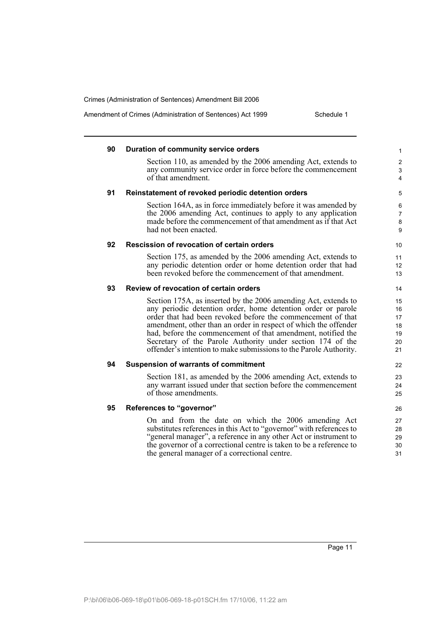Amendment of Crimes (Administration of Sentences) Act 1999 Schedule 1

| 90 | Duration of community service orders                                                                                           | $\mathbf{1}$            |
|----|--------------------------------------------------------------------------------------------------------------------------------|-------------------------|
|    | Section 110, as amended by the 2006 amending Act, extends to                                                                   | $\overline{\mathbf{c}}$ |
|    | any community service order in force before the commencement                                                                   | $\mathfrak{S}$          |
|    | of that amendment.                                                                                                             | $\overline{4}$          |
| 91 | Reinstatement of revoked periodic detention orders                                                                             | 5                       |
|    | Section 164A, as in force immediately before it was amended by                                                                 | 6                       |
|    | the 2006 amending Act, continues to apply to any application                                                                   | $\overline{7}$          |
|    | made before the commencement of that amendment as if that Act<br>had not been enacted.                                         | $\bf 8$                 |
|    |                                                                                                                                | 9                       |
| 92 | Rescission of revocation of certain orders                                                                                     | 10                      |
|    | Section 175, as amended by the 2006 amending Act, extends to                                                                   | 11                      |
|    | any periodic detention order or home detention order that had                                                                  | 12                      |
|    | been revoked before the commencement of that amendment.                                                                        | 13                      |
| 93 | Review of revocation of certain orders                                                                                         | 14                      |
|    | Section 175A, as inserted by the 2006 amending Act, extends to                                                                 | 15                      |
|    | any periodic detention order, home detention order or parole                                                                   | 16                      |
|    | order that had been revoked before the commencement of that<br>amendment, other than an order in respect of which the offender | 17<br>18                |
|    | had, before the commencement of that amendment, notified the                                                                   | 19                      |
|    | Secretary of the Parole Authority under section 174 of the                                                                     | 20                      |
|    | offender's intention to make submissions to the Parole Authority.                                                              | 21                      |
| 94 | <b>Suspension of warrants of commitment</b>                                                                                    | 22                      |
|    | Section 181, as amended by the 2006 amending Act, extends to                                                                   | 23                      |
|    | any warrant issued under that section before the commencement                                                                  | 24                      |
|    | of those amendments.                                                                                                           | 25                      |
| 95 | References to "governor"                                                                                                       | 26                      |
|    | On and from the date on which the 2006 amending Act                                                                            | 27                      |
|    | substitutes references in this Act to "governor" with references to                                                            | 28                      |
|    | "general manager", a reference in any other Act or instrument to                                                               | 29                      |
|    | the governor of a correctional centre is taken to be a reference to                                                            | 30                      |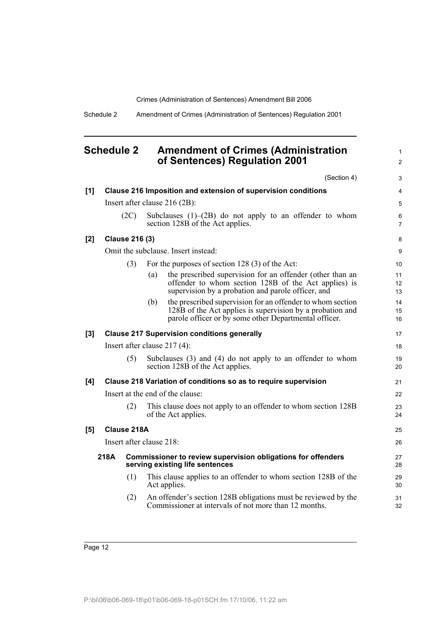1 2

Schedule 2 Amendment of Crimes (Administration of Sentences) Regulation 2001

### <span id="page-19-0"></span>**Schedule 2 Amendment of Crimes (Administration of Sentences) Regulation 2001**

|     |      |                       |                          | (Section 4)                                                                                                                                                                      | 3              |
|-----|------|-----------------------|--------------------------|----------------------------------------------------------------------------------------------------------------------------------------------------------------------------------|----------------|
| [1] |      |                       |                          | Clause 216 Imposition and extension of supervision conditions                                                                                                                    | 4              |
|     |      |                       |                          | Insert after clause $216(2B)$ :                                                                                                                                                  | 5              |
|     |      | (2C)                  |                          | Subclauses $(1)$ – $(2B)$ do not apply to an offender to whom<br>section 128B of the Act applies.                                                                                | 6<br>7         |
| [2] |      | <b>Clause 216 (3)</b> |                          |                                                                                                                                                                                  | 8              |
|     |      |                       |                          | Omit the subclause. Insert instead:                                                                                                                                              | 9              |
|     |      | (3)                   |                          | For the purposes of section 128 (3) of the Act:                                                                                                                                  | 10             |
|     |      |                       | (a)                      | the prescribed supervision for an offender (other than an<br>offender to whom section 128B of the Act applies) is<br>supervision by a probation and parole officer, and          | 11<br>12<br>13 |
|     |      |                       | (b)                      | the prescribed supervision for an offender to whom section<br>128B of the Act applies is supervision by a probation and<br>parole officer or by some other Departmental officer. | 14<br>15<br>16 |
| [3] |      |                       |                          | <b>Clause 217 Supervision conditions generally</b>                                                                                                                               | 17             |
|     |      |                       |                          | Insert after clause $217(4)$ :                                                                                                                                                   | 18             |
|     |      | (5)                   |                          | Subclauses $(3)$ and $(4)$ do not apply to an offender to whom<br>section 128B of the Act applies.                                                                               | 19<br>20       |
| [4] |      |                       |                          | Clause 218 Variation of conditions so as to require supervision                                                                                                                  | 21             |
|     |      |                       |                          | Insert at the end of the clause:                                                                                                                                                 | 22             |
|     |      | (2)                   |                          | This clause does not apply to an offender to whom section 128B<br>of the Act applies.                                                                                            | 23<br>24       |
| [5] |      | Clause 218A           |                          |                                                                                                                                                                                  | 25             |
|     |      |                       | Insert after clause 218: |                                                                                                                                                                                  | 26             |
|     | 218A |                       |                          | Commissioner to review supervision obligations for offenders<br>serving existing life sentences                                                                                  | 27<br>28       |
|     |      | (1)                   |                          | This clause applies to an offender to whom section 128B of the<br>Act applies.                                                                                                   | 29<br>30       |
|     |      | (2)                   |                          | An offender's section 128B obligations must be reviewed by the<br>Commissioner at intervals of not more than 12 months.                                                          | 31<br>32       |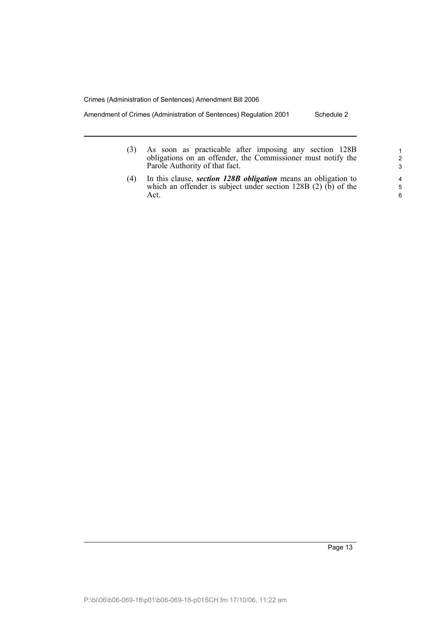Amendment of Crimes (Administration of Sentences) Regulation 2001 Schedule 2

- (3) As soon as practicable after imposing any section 128B obligations on an offender, the Commissioner must notify the Parole Authority of that fact.
- (4) In this clause, *section 128B obligation* means an obligation to which an offender is subject under section  $128B(2)$  (b) of the Act.